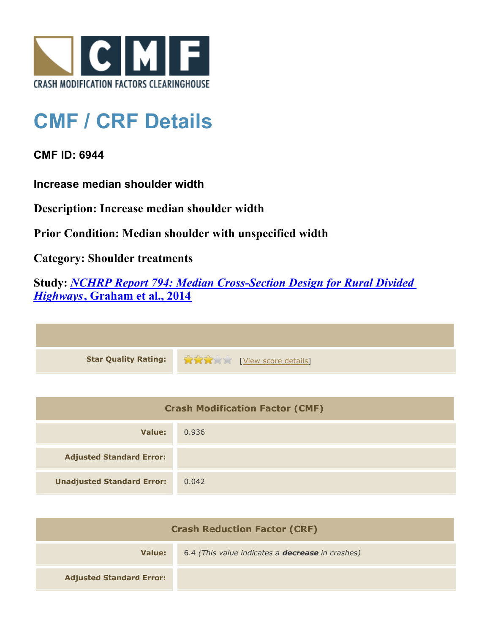

## **CMF / CRF Details**

**CMF ID: 6944**

**Increase median shoulder width**

**Description: Increase median shoulder width**

**Prior Condition: Median shoulder with unspecified width**

**Category: Shoulder treatments**

**Study:** *[NCHRP Report 794: Median Cross-Section Design for Rural Divided](http://www.cmfclearinghouse.org/study_detail.cfm?stid=420) [Highways](http://www.cmfclearinghouse.org/study_detail.cfm?stid=420)***[, Graham et al., 2014](http://www.cmfclearinghouse.org/study_detail.cfm?stid=420)**

| Star Quality Rating: 1999 [View score details] |
|------------------------------------------------|

| <b>Crash Modification Factor (CMF)</b> |       |
|----------------------------------------|-------|
| Value:                                 | 0.936 |
| <b>Adjusted Standard Error:</b>        |       |
| <b>Unadjusted Standard Error:</b>      | 0.042 |

| <b>Crash Reduction Factor (CRF)</b> |                                                         |
|-------------------------------------|---------------------------------------------------------|
| Value:                              | 6.4 (This value indicates a <b>decrease</b> in crashes) |
| <b>Adjusted Standard Error:</b>     |                                                         |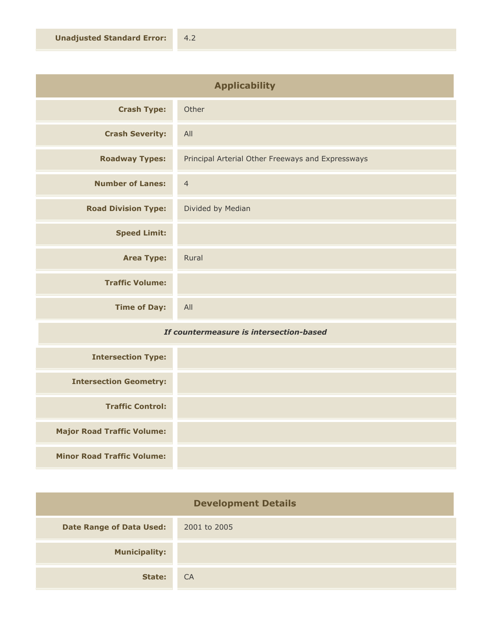| <b>Applicability</b>       |                                                   |
|----------------------------|---------------------------------------------------|
| <b>Crash Type:</b>         | Other                                             |
| <b>Crash Severity:</b>     | All                                               |
| <b>Roadway Types:</b>      | Principal Arterial Other Freeways and Expressways |
| <b>Number of Lanes:</b>    | $\overline{4}$                                    |
| <b>Road Division Type:</b> | Divided by Median                                 |
| <b>Speed Limit:</b>        |                                                   |
| <b>Area Type:</b>          | Rural                                             |
| <b>Traffic Volume:</b>     |                                                   |
| <b>Time of Day:</b>        | All                                               |

## *If countermeasure is intersection-based*

| <b>Intersection Type:</b>         |  |
|-----------------------------------|--|
| <b>Intersection Geometry:</b>     |  |
| <b>Traffic Control:</b>           |  |
| <b>Major Road Traffic Volume:</b> |  |
| <b>Minor Road Traffic Volume:</b> |  |

| <b>Development Details</b>      |              |
|---------------------------------|--------------|
| <b>Date Range of Data Used:</b> | 2001 to 2005 |
| <b>Municipality:</b>            |              |
| State:                          | CA           |